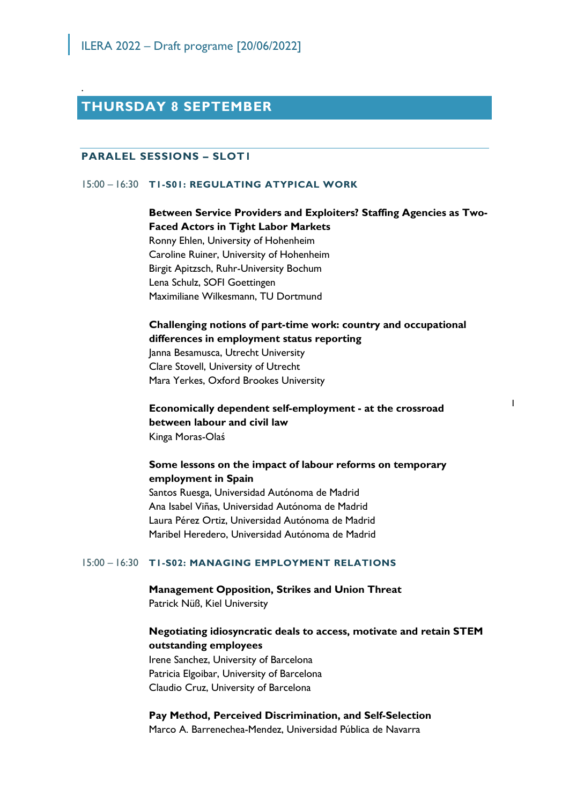## **THURSDAY 8 SEPTEMBER**

### **PARALEL SESSIONS – SLOT1**

.

#### 15:00 – 16:30 **T1-S01: REGULATING ATYPICAL WORK**

## **Between Service Providers and Exploiters? Staffing Agencies as Two-Faced Actors in Tight Labor Markets**

Ronny Ehlen, University of Hohenheim Caroline Ruiner, University of Hohenheim Birgit Apitzsch, Ruhr-University Bochum Lena Schulz, SOFI Goettingen Maximiliane Wilkesmann, TU Dortmund

## **Challenging notions of part-time work: country and occupational differences in employment status reporting**  Janna Besamusca, Utrecht University Clare Stovell, University of Utrecht

1

Mara Yerkes, Oxford Brookes University

**Economically dependent self-employment - at the crossroad between labour and civil law**  Kinga Moras-Olaś

### **Some lessons on the impact of labour reforms on temporary employment in Spain**

Santos Ruesga, Universidad Autónoma de Madrid Ana Isabel Viñas, Universidad Autónoma de Madrid Laura Pérez Ortiz, Universidad Autónoma de Madrid Maribel Heredero, Universidad Autónoma de Madrid

#### 15:00 – 16:30 **T1-S02: MANAGING EMPLOYMENT RELATIONS**

## **Management Opposition, Strikes and Union Threat** Patrick Nüß, Kiel University

### **Negotiating idiosyncratic deals to access, motivate and retain STEM outstanding employees**

Irene Sanchez, University of Barcelona Patricia Elgoibar, University of Barcelona Claudio Cruz, University of Barcelona

#### **Pay Method, Perceived Discrimination, and Self-Selection**

Marco A. Barrenechea-Mendez, Universidad Pública de Navarra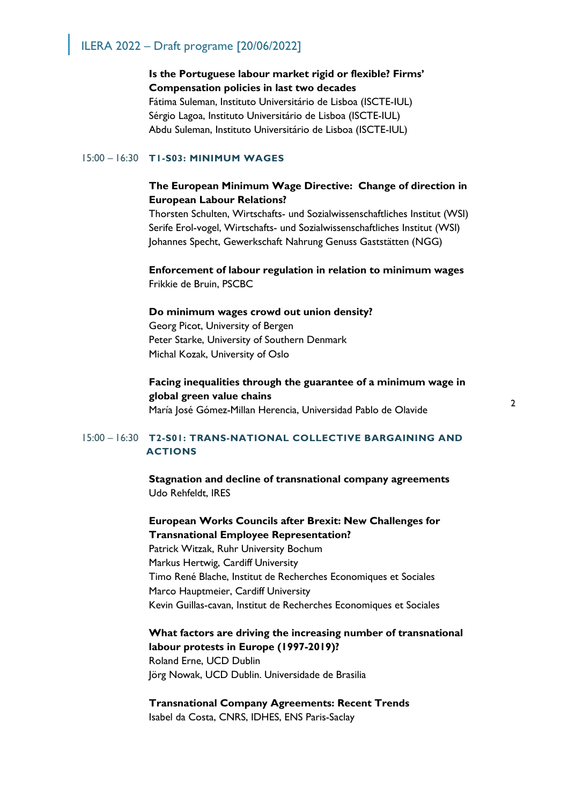## **Is the Portuguese labour market rigid or flexible? Firms' Compensation policies in last two decades**

Fátima Suleman, Instituto Universitário de Lisboa (ISCTE-IUL) Sérgio Lagoa, Instituto Universitário de Lisboa (ISCTE-IUL) Abdu Suleman, Instituto Universitário de Lisboa (ISCTE-IUL)

#### 15:00 – 16:30 **T1-S03: MINIMUM WAGES**

## **The European Minimum Wage Directive: Change of direction in European Labour Relations?**

Thorsten Schulten, Wirtschafts- und Sozialwissenschaftliches Institut (WSI) Serife Erol-vogel, Wirtschafts- und Sozialwissenschaftliches Institut (WSI) Johannes Specht, Gewerkschaft Nahrung Genuss Gaststätten (NGG)

### **Enforcement of labour regulation in relation to minimum wages**  Frikkie de Bruin, PSCBC

#### **Do minimum wages crowd out union density?**

Georg Picot, University of Bergen Peter Starke, University of Southern Denmark Michal Kozak, University of Oslo

## **Facing inequalities through the guarantee of a minimum wage in global green value chains**

María José Gómez-Millan Herencia, Universidad Pablo de Olavide

## 15:00 – 16:30 **T2-S01: TRANS-NATIONAL COLLECTIVE BARGAINING AND ACTIONS**

**Stagnation and decline of transnational company agreements** Udo Rehfeldt, IRES

## **European Works Councils after Brexit: New Challenges for Transnational Employee Representation?**

Patrick Witzak, Ruhr University Bochum Markus Hertwig, Cardiff University Timo René Blache, Institut de Recherches Economiques et Sociales Marco Hauptmeier, Cardiff University Kevin Guillas-cavan, Institut de Recherches Economiques et Sociales

## **What factors are driving the increasing number of transnational labour protests in Europe (1997-2019)?**

Roland Erne, UCD Dublin Jörg Nowak, UCD Dublin. Universidade de Brasilia

**Transnational Company Agreements: Recent Trends** Isabel da Costa, CNRS, IDHES, ENS Paris-Saclay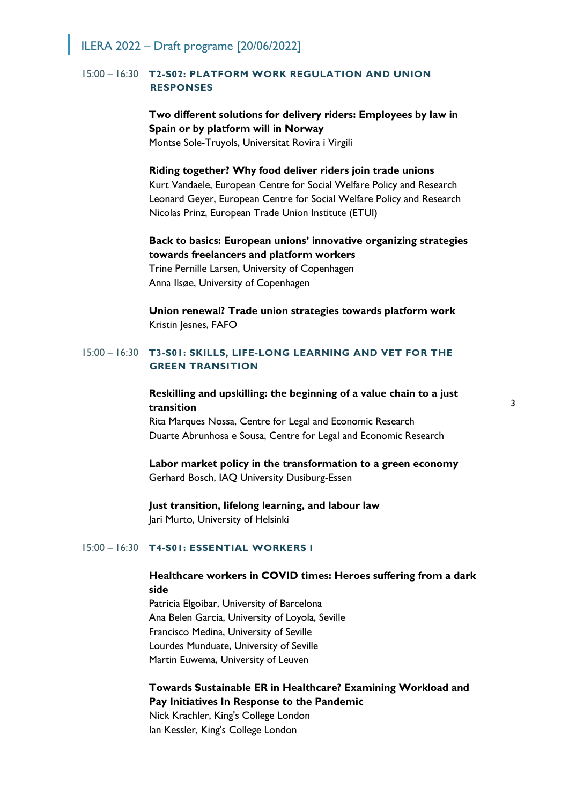### 15:00 – 16:30 **T2-S02: PLATFORM WORK REGULATION AND UNION RESPONSES**

## **Two different solutions for delivery riders: Employees by law in Spain or by platform will in Norway**

Montse Sole-Truyols, Universitat Rovira i Virgili

#### **Riding together? Why food deliver riders join trade unions**

Kurt Vandaele, European Centre for Social Welfare Policy and Research Leonard Geyer, European Centre for Social Welfare Policy and Research Nicolas Prinz, European Trade Union Institute (ETUI)

## **Back to basics: European unions' innovative organizing strategies towards freelancers and platform workers**

Trine Pernille Larsen, University of Copenhagen Anna Ilsøe, University of Copenhagen

**Union renewal? Trade union strategies towards platform work**  Kristin Jesnes, FAFO

#### 15:00 – 16:30 **T3-S01: SKILLS, LIFE-LONG LEARNING AND VET FOR THE GREEN TRANSITION**

### **Reskilling and upskilling: the beginning of a value chain to a just transition**

Rita Marques Nossa, Centre for Legal and Economic Research Duarte Abrunhosa e Sousa, Centre for Legal and Economic Research

# **Labor market policy in the transformation to a green economy**

Gerhard Bosch, IAQ University Dusiburg-Essen

#### **Just transition, lifelong learning, and labour law**  Jari Murto, University of Helsinki

#### 15:00 – 16:30 **T4-S01: ESSENTIAL WORKERS I**

## **Healthcare workers in COVID times: Heroes suffering from a dark side**

Patricia Elgoibar, University of Barcelona Ana Belen Garcia, University of Loyola, Seville Francisco Medina, University of Seville Lourdes Munduate, University of Seville Martin Euwema, University of Leuven

## **Towards Sustainable ER in Healthcare? Examining Workload and Pay Initiatives In Response to the Pandemic**

Nick Krachler, King's College London Ian Kessler, King's College London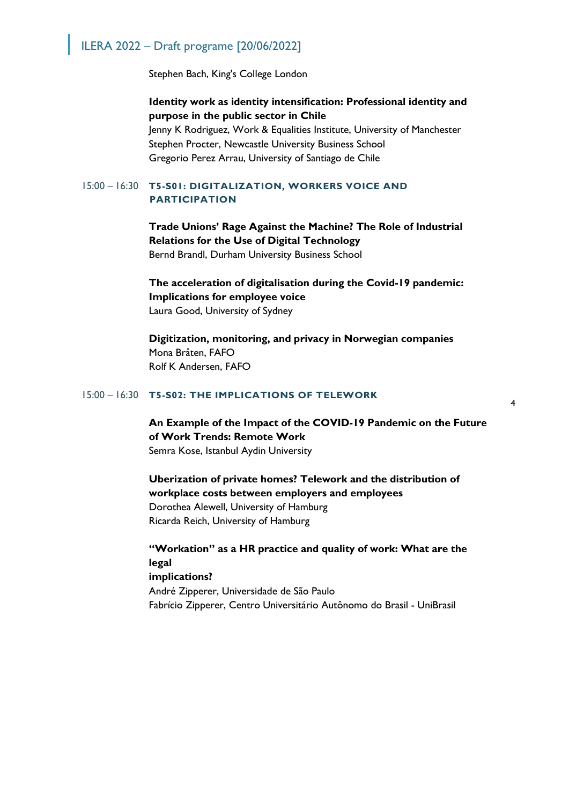Stephen Bach, King's College London

**Identity work as identity intensification: Professional identity and purpose in the public sector in Chile** Jenny K Rodriguez, Work & Equalities Institute, University of Manchester Stephen Procter, Newcastle University Business School Gregorio Perez Arrau, University of Santiago de Chile

### 15:00 – 16:30 **T5-S01: DIGITALIZATION, WORKERS VOICE AND PARTICIPATION**

## **Trade Unions' Rage Against the Machine? The Role of Industrial Relations for the Use of Digital Technology**

Bernd Brandl, Durham University Business School

**The acceleration of digitalisation during the Covid-19 pandemic: Implications for employee voice** Laura Good, University of Sydney

**Digitization, monitoring, and privacy in Norwegian companies** Mona Bråten, FAFO Rolf K Andersen, FAFO

#### 15:00 – 16:30 **T5-S02: THE IMPLICATIONS OF TELEWORK**

**An Example of the Impact of the COVID-19 Pandemic on the Future of Work Trends: Remote Work**

Semra Kose, Istanbul Aydin University

**Uberization of private homes? Telework and the distribution of workplace costs between employers and employees** Dorothea Alewell, University of Hamburg Ricarda Reich, University of Hamburg

**"Workation" as a HR practice and quality of work: What are the legal implications?** André Zipperer, Universidade de São Paulo Fabrício Zipperer, Centro Universitário Autônomo do Brasil - UniBrasil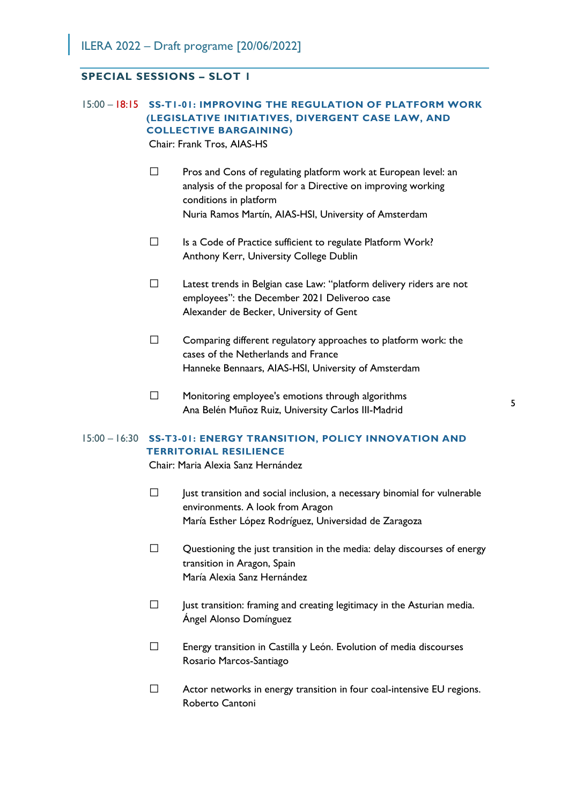## **SPECIAL SESSIONS – SLOT 1**

### 15:00 – 18:15 **SS-T1-01: IMPROVING THE REGULATION OF PLATFORM WORK (LEGISLATIVE INITIATIVES, DIVERGENT CASE LAW, AND COLLECTIVE BARGAINING)** Chair: Frank Tros, AIAS-HS

- $\square$  Pros and Cons of regulating platform work at European level: an analysis of the proposal for a Directive on improving working conditions in platform Nuria Ramos Martín, AIAS-HSI, University of Amsterdam
- $\square$  Is a Code of Practice sufficient to regulate Platform Work? Anthony Kerr, University College Dublin
- $\Box$  Latest trends in Belgian case Law: "platform delivery riders are not employees": the December 2021 Deliveroo case Alexander de Becker, University of Gent
- $\square$  Comparing different regulatory approaches to platform work: the cases of the Netherlands and France Hanneke Bennaars, AIAS-HSI, University of Amsterdam
- $\square$  Monitoring employee's emotions through algorithms Ana Belén Muñoz Ruiz, University Carlos III-Madrid

# 5

## 15:00 – 16:30 **SS-T3-01: ENERGY TRANSITION, POLICY INNOVATION AND TERRITORIAL RESILIENCE**

Chair: Maria Alexia Sanz Hernández

- $\Box$  Just transition and social inclusion, a necessary binomial for vulnerable environments. A look from Aragon María Esther López Rodríguez, Universidad de Zaragoza
- $\square$  Questioning the just transition in the media: delay discourses of energy transition in Aragon, Spain María Alexia Sanz Hernández
- $\Box$  Just transition: framing and creating legitimacy in the Asturian media. Ángel Alonso Domínguez
- $\Box$  Energy transition in Castilla y León. Evolution of media discourses Rosario Marcos-Santiago
- $\Box$  Actor networks in energy transition in four coal-intensive EU regions. Roberto Cantoni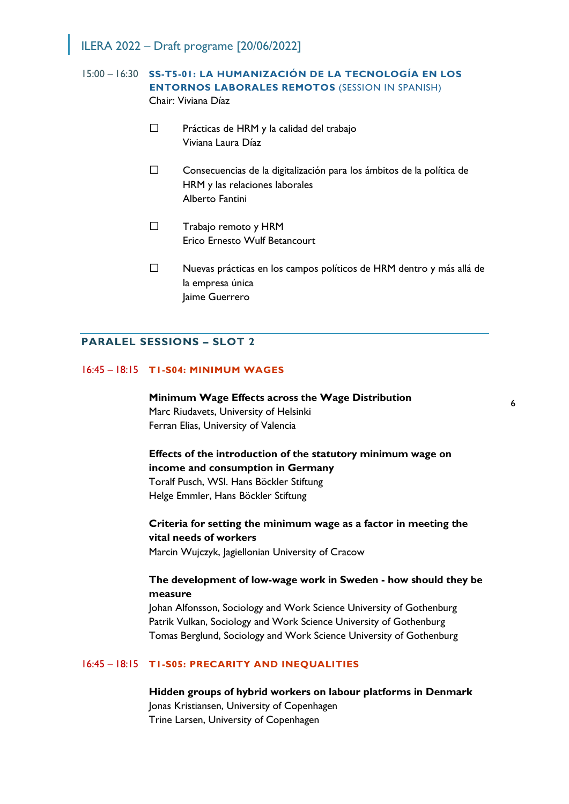## 15:00 – 16:30 **SS-T5-01: LA HUMANIZACIÓN DE LA TECNOLOGÍA EN LOS ENTORNOS LABORALES REMOTOS** (SESSION IN SPANISH) Chair: Viviana Díaz

- $\square$  Prácticas de HRM y la calidad del trabajo Viviana Laura Díaz
- $\square$  Consecuencias de la digitalización para los ámbitos de la política de HRM y las relaciones laborales Alberto Fantini
- $\Box$  Trabajo remoto y HRM Erico Ernesto Wulf Betancourt
- Nuevas prácticas en los campos políticos de HRM dentro y más allá de la empresa única Jaime Guerrero

#### **PARALEL SESSIONS – SLOT 2**

#### 16:45 – 18:15 **T1-S04: MINIMUM WAGES**

**Minimum Wage Effects across the Wage Distribution** Marc Riudavets, University of Helsinki Ferran Elias, University of Valencia

## **Effects of the introduction of the statutory minimum wage on income and consumption in Germany** Toralf Pusch, WSI. Hans Böckler Stiftung

Helge Emmler, Hans Böckler Stiftung

## **Criteria for setting the minimum wage as a factor in meeting the vital needs of workers**

Marcin Wujczyk, Jagiellonian University of Cracow

## **The development of low-wage work in Sweden - how should they be measure**

Johan Alfonsson, Sociology and Work Science University of Gothenburg Patrik Vulkan, Sociology and Work Science University of Gothenburg Tomas Berglund, Sociology and Work Science University of Gothenburg

#### 16:45 – 18:15 **T1-S05: PRECARITY AND INEQUALITIES**

**Hidden groups of hybrid workers on labour platforms in Denmark** Jonas Kristiansen, University of Copenhagen Trine Larsen, University of Copenhagen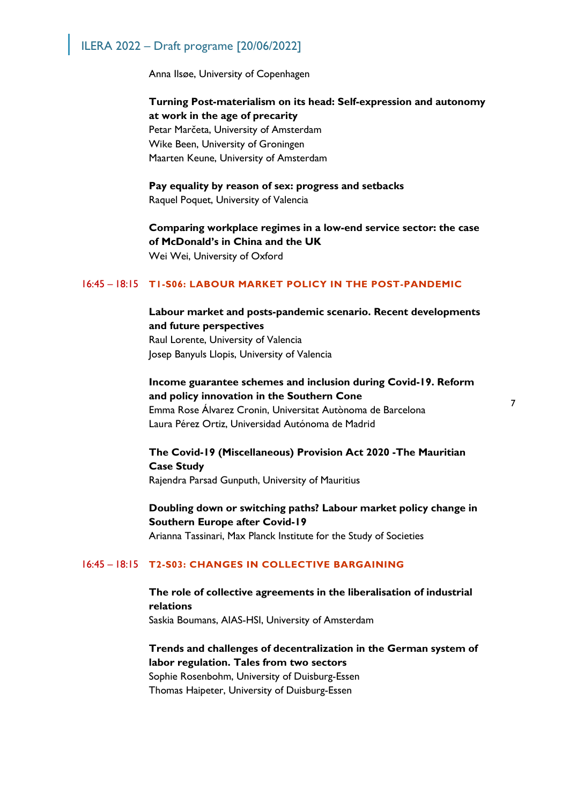Anna Ilsøe, University of Copenhagen

**Turning Post-materialism on its head: Self-expression and autonomy at work in the age of precarity** Petar Marčeta, University of Amsterdam Wike Been, University of Groningen Maarten Keune, University of Amsterdam

**Pay equality by reason of sex: progress and setbacks** Raquel Poquet, University of Valencia

**Comparing workplace regimes in a low-end service sector: the case of McDonald's in China and the UK** Wei Wei, University of Oxford

#### 16:45 – 18:15 **T1-S06: LABOUR MARKET POLICY IN THE POST-PANDEMIC**

## **Labour market and posts-pandemic scenario. Recent developments and future perspectives**

Raul Lorente, University of Valencia Josep Banyuls Llopis, University of Valencia

## **Income guarantee schemes and inclusion during Covid-19. Reform and policy innovation in the Southern Cone**

Emma Rose Álvarez Cronin, Universitat Autònoma de Barcelona Laura Pérez Ortiz, Universidad Autónoma de Madrid

# **The Covid-19 (Miscellaneous) Provision Act 2020 -The Mauritian Case Study**

Rajendra Parsad Gunputh, University of Mauritius

## **Doubling down or switching paths? Labour market policy change in Southern Europe after Covid-19**

Arianna Tassinari, Max Planck Institute for the Study of Societies

#### 16:45 – 18:15 **T2-S03: CHANGES IN COLLECTIVE BARGAINING**

## **The role of collective agreements in the liberalisation of industrial relations** Saskia Boumans, AIAS-HSI, University of Amsterdam

## **Trends and challenges of decentralization in the German system of labor regulation. Tales from two sectors**

Sophie Rosenbohm, University of Duisburg-Essen Thomas Haipeter, University of Duisburg-Essen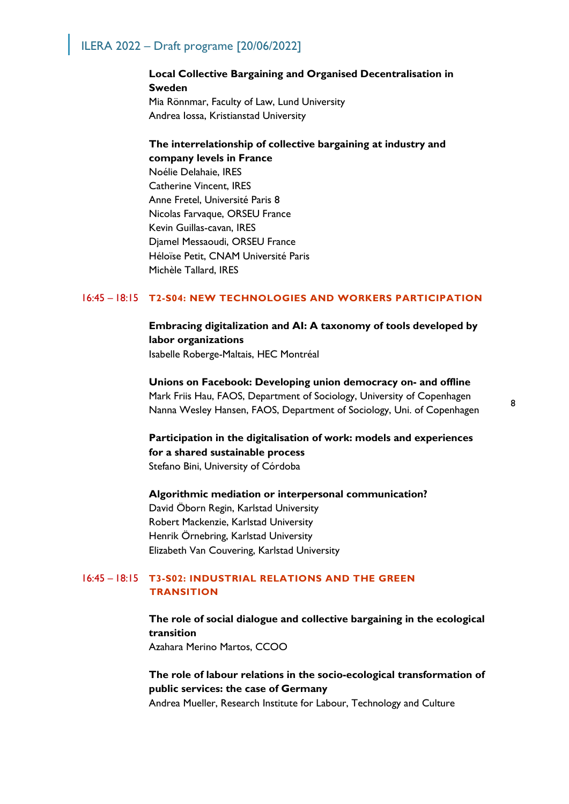## **Local Collective Bargaining and Organised Decentralisation in Sweden** Mia Rönnmar, Faculty of Law, Lund University Andrea Iossa, Kristianstad University

## **The interrelationship of collective bargaining at industry and company levels in France**

Noélie Delahaie, IRES Catherine Vincent, IRES Anne Fretel, Université Paris 8 Nicolas Farvaque, ORSEU France Kevin Guillas-cavan, IRES Djamel Messaoudi, ORSEU France Héloïse Petit, CNAM Université Paris Michèle Tallard, IRES

### 16:45 – 18:15 **T2-S04: NEW TECHNOLOGIES AND WORKERS PARTICIPATION**

**Embracing digitalization and AI: A taxonomy of tools developed by labor organizations** Isabelle Roberge-Maltais, HEC Montréal

**Unions on Facebook: Developing union democracy on- and offline** Mark Friis Hau, FAOS, Department of Sociology, University of Copenhagen Nanna Wesley Hansen, FAOS, Department of Sociology, Uni. of Copenhagen

**Participation in the digitalisation of work: models and experiences for a shared sustainable process** Stefano Bini, University of Córdoba

**Algorithmic mediation or interpersonal communication?** David Öborn Regin, Karlstad University Robert Mackenzie, Karlstad University Henrik Örnebring, Karlstad University Elizabeth Van Couvering, Karlstad University

### 16:45 – 18:15 **T3-S02: INDUSTRIAL RELATIONS AND THE GREEN TRANSITION**

**The role of social dialogue and collective bargaining in the ecological transition**

Azahara Merino Martos, CCOO

## **The role of labour relations in the socio-ecological transformation of public services: the case of Germany**

Andrea Mueller, Research Institute for Labour, Technology and Culture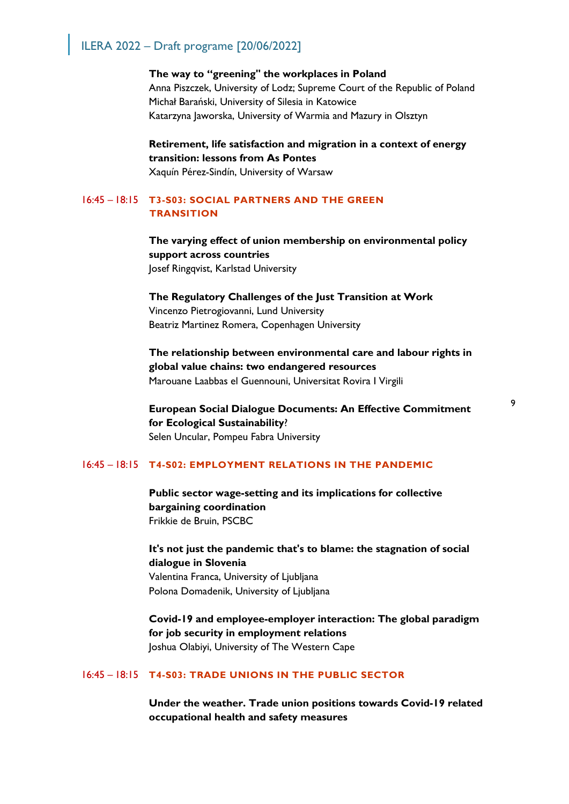**The way to "greening" the workplaces in Poland** Anna Piszczek, University of Lodz; Supreme Court of the Republic of Poland Michał Barański, University of Silesia in Katowice Katarzyna Jaworska, University of Warmia and Mazury in Olsztyn

## **Retirement, life satisfaction and migration in a context of energy transition: lessons from As Pontes** Xaquín Pérez-Sindín, University of Warsaw

### 16:45 – 18:15 **T3-S03: SOCIAL PARTNERS AND THE GREEN TRANSITION**

**The varying effect of union membership on environmental policy support across countries** Josef Ringqvist, Karlstad University

**The Regulatory Challenges of the Just Transition at Work** Vincenzo Pietrogiovanni, Lund University Beatriz Martinez Romera, Copenhagen University

**The relationship between environmental care and labour rights in global value chains: two endangered resources** Marouane Laabbas el Guennouni, Universitat Rovira I Virgili

**European Social Dialogue Documents: An Effective Commitment for Ecological Sustainability**? Selen Uncular, Pompeu Fabra University

#### 16:45 – 18:15 **T4-S02: EMPLOYMENT RELATIONS IN THE PANDEMIC**

**Public sector wage-setting and its implications for collective bargaining coordination** Frikkie de Bruin, PSCBC

**It's not just the pandemic that's to blame: the stagnation of social dialogue in Slovenia** Valentina Franca, University of Ljubljana Polona Domadenik, University of Ljubljana

**Covid-19 and employee-employer interaction: The global paradigm for job security in employment relations** Joshua Olabiyi, University of The Western Cape

### 16:45 – 18:15 **T4-S03: TRADE UNIONS IN THE PUBLIC SECTOR**

**Under the weather. Trade union positions towards Covid-19 related occupational health and safety measures**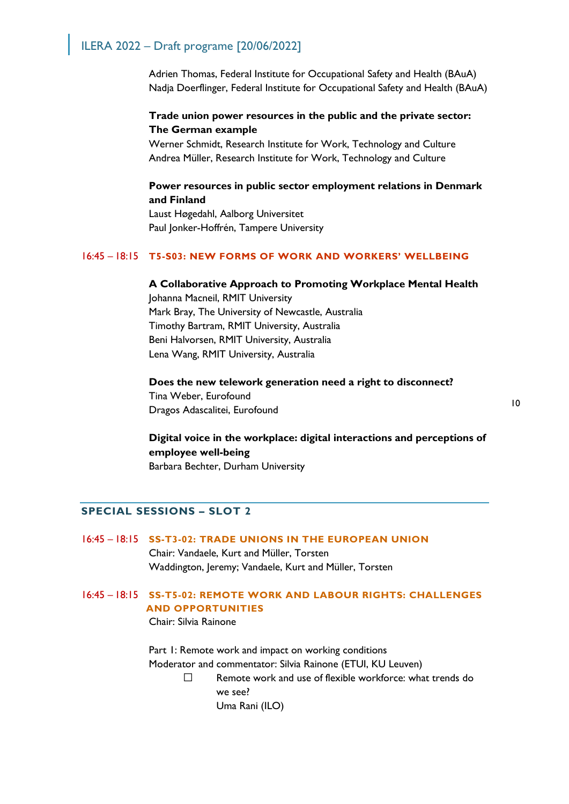Adrien Thomas, Federal Institute for Occupational Safety and Health (BAuA) Nadja Doerflinger, Federal Institute for Occupational Safety and Health (BAuA)

## **Trade union power resources in the public and the private sector: The German example**

Werner Schmidt, Research Institute for Work, Technology and Culture Andrea Müller, Research Institute for Work, Technology and Culture

## **Power resources in public sector employment relations in Denmark and Finland**

Laust Høgedahl, Aalborg Universitet Paul Jonker-Hoffrén, Tampere University

## 16:45 – 18:15 **T5-S03: NEW FORMS OF WORK AND WORKERS' WELLBEING**

## **A Collaborative Approach to Promoting Workplace Mental Health**

Johanna Macneil, RMIT University Mark Bray, The University of Newcastle, Australia Timothy Bartram, RMIT University, Australia Beni Halvorsen, RMIT University, Australia Lena Wang, RMIT University, Australia

## **Does the new telework generation need a right to disconnect?** Tina Weber, Eurofound Dragos Adascalitei, Eurofound

10

## **Digital voice in the workplace: digital interactions and perceptions of employee well-being** Barbara Bechter, Durham University

#### **SPECIAL SESSIONS – SLOT 2**

### 16:45 – 18:15 **SS-T3-02: TRADE UNIONS IN THE EUROPEAN UNION**

Chair: Vandaele, Kurt and Müller, Torsten Waddington, Jeremy; Vandaele, Kurt and Müller, Torsten

## 16:45 – 18:15 **SS-T5-02: REMOTE WORK AND LABOUR RIGHTS: CHALLENGES AND OPPORTUNITIES**

Chair: Silvia Rainone

Part 1: Remote work and impact on working conditions Moderator and commentator: Silvia Rainone (ETUI, KU Leuven)

> $\square$  Remote work and use of flexible workforce: what trends do we see?

Uma Rani (ILO)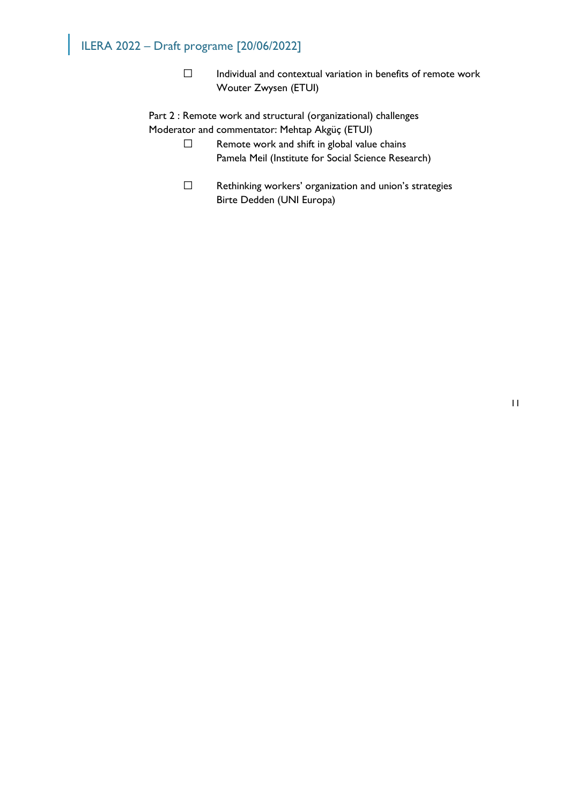$\square$  Individual and contextual variation in benefits of remote work Wouter Zwysen (ETUI)

Part 2 : Remote work and structural (organizational) challenges Moderator and commentator: Mehtap Akgüç (ETUI)

- $\square$  Remote work and shift in global value chains Pamela Meil (Institute for Social Science Research)
- □ Rethinking workers' organization and union's strategies Birte Dedden (UNI Europa)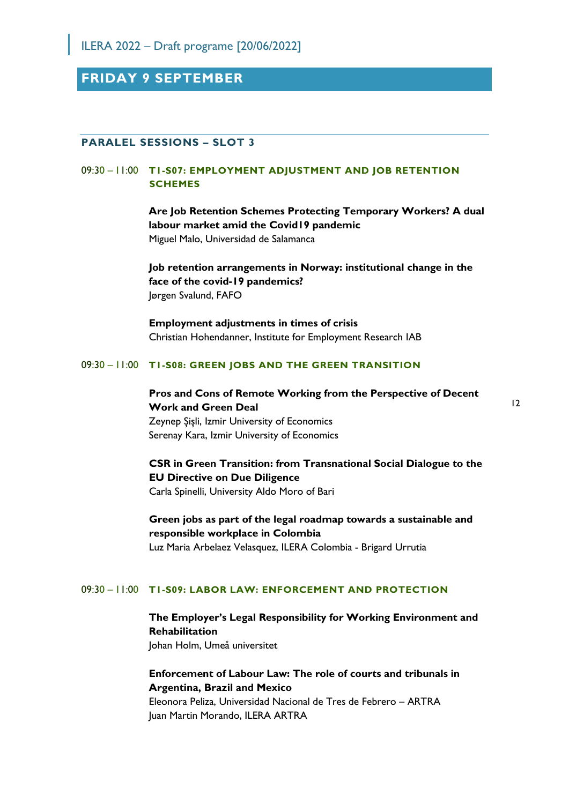**FRIDAY 9 SEPTEMBER** 

#### **PARALEL SESSIONS – SLOT 3**

#### 09:30 – 11:00 **T1-S07: EMPLOYMENT ADJUSTMENT AND JOB RETENTION SCHEMES**

**Are Job Retention Schemes Protecting Temporary Workers? A dual labour market amid the Covid19 pandemic** Miguel Malo, Universidad de Salamanca

**Job retention arrangements in Norway: institutional change in the face of the covid-19 pandemics?**  Jørgen Svalund, FAFO

**Employment adjustments in times of crisis** Christian Hohendanner, Institute for Employment Research IAB

#### 09:30 – 11:00 **T1-S08: GREEN JOBS AND THE GREEN TRANSITION**

**Pros and Cons of Remote Working from the Perspective of Decent Work and Green Deal** Zeynep Şişli, Izmir University of Economics Serenay Kara, Izmir University of Economics

**CSR in Green Transition: from Transnational Social Dialogue to the EU Directive on Due Diligence** Carla Spinelli, University Aldo Moro of Bari

**Green jobs as part of the legal roadmap towards a sustainable and responsible workplace in Colombia** Luz Maria Arbelaez Velasquez, ILERA Colombia - Brigard Urrutia

#### 09:30 – 11:00 **T1-S09: LABOR LAW: ENFORCEMENT AND PROTECTION**

**The Employer's Legal Responsibility for Working Environment and Rehabilitation** Johan Holm, Umeå universitet

## **Enforcement of Labour Law: The role of courts and tribunals in Argentina, Brazil and Mexico**

Eleonora Peliza, Universidad Nacional de Tres de Febrero – ARTRA Juan Martin Morando, ILERA ARTRA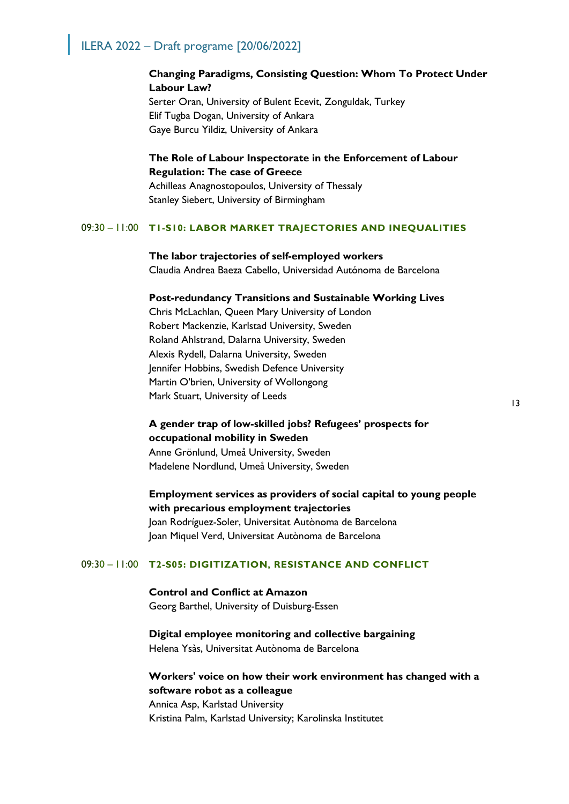### **Changing Paradigms, Consisting Question: Whom To Protect Under Labour Law?**

Serter Oran, University of Bulent Ecevit, Zonguldak, Turkey Elif Tugba Dogan, University of Ankara Gaye Burcu Yildiz, University of Ankara

### **The Role of Labour Inspectorate in the Enforcement of Labour Regulation: The case of Greece**

Achilleas Anagnostopoulos, University of Thessaly Stanley Siebert, University of Birmingham

#### 09:30 – 11:00 **T1-S10: LABOR MARKET TRAJECTORIES AND INEQUALITIES**

#### **The labor trajectories of self-employed workers**

Claudia Andrea Baeza Cabello, Universidad Autónoma de Barcelona

#### **Post-redundancy Transitions and Sustainable Working Lives**

Chris McLachlan, Queen Mary University of London Robert Mackenzie, Karlstad University, Sweden Roland Ahlstrand, Dalarna University, Sweden Alexis Rydell, Dalarna University, Sweden Jennifer Hobbins, Swedish Defence University Martin O'brien, University of Wollongong Mark Stuart, University of Leeds

## **A gender trap of low-skilled jobs? Refugees' prospects for occupational mobility in Sweden**

Anne Grönlund, Umeå University, Sweden Madelene Nordlund, Umeå University, Sweden

## **Employment services as providers of social capital to young people with precarious employment trajectories**

Joan Rodríguez-Soler, Universitat Autònoma de Barcelona Joan Miquel Verd, Universitat Autònoma de Barcelona

#### 09:30 – 11:00 **T2-S05: DIGITIZATION, RESISTANCE AND CONFLICT**

**Control and Conflict at Amazon** Georg Barthel, University of Duisburg-Essen

## **Digital employee monitoring and collective bargaining**

Helena Ysàs, Universitat Autònoma de Barcelona

## **Workers' voice on how their work environment has changed with a software robot as a colleague**

Annica Asp, Karlstad University Kristina Palm, Karlstad University; Karolinska Institutet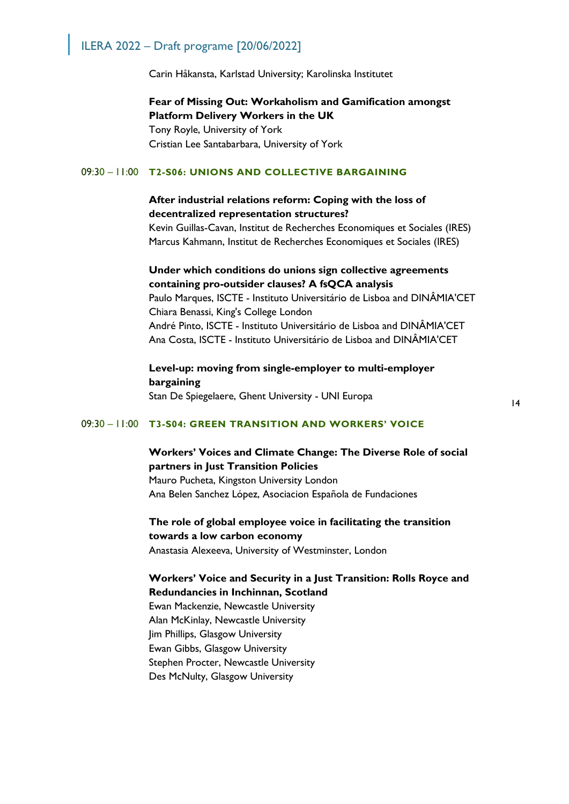Carin Håkansta, Karlstad University; Karolinska Institutet

**Fear of Missing Out: Workaholism and Gamification amongst Platform Delivery Workers in the UK** Tony Royle, University of York Cristian Lee Santabarbara, University of York

#### 09:30 – 11:00 **T2-S06: UNIONS AND COLLECTIVE BARGAINING**

## **After industrial relations reform: Coping with the loss of decentralized representation structures?**

Kevin Guillas-Cavan, Institut de Recherches Economiques et Sociales (IRES) Marcus Kahmann, Institut de Recherches Economiques et Sociales (IRES)

## **Under which conditions do unions sign collective agreements containing pro-outsider clauses? A fsQCA analysis**

Paulo Marques, ISCTE - Instituto Universitário de Lisboa and DINÂMIA'CET Chiara Benassi, King's College London André Pinto, ISCTE - Instituto Universitário de Lisboa and DINÂMIA'CET Ana Costa, ISCTE - Instituto Universitário de Lisboa and DINÂMIA'CET

## **Level-up: moving from single-employer to multi-employer bargaining**

Stan De Spiegelaere, Ghent University - UNI Europa

#### 09:30 – 11:00 **T3-S04: GREEN TRANSITION AND WORKERS' VOICE**

## **Workers' Voices and Climate Change: The Diverse Role of social partners in Just Transition Policies** Mauro Pucheta, Kingston University London

Ana Belen Sanchez López, Asociacion Española de Fundaciones

## **The role of global employee voice in facilitating the transition towards a low carbon economy**

Anastasia Alexeeva, University of Westminster, London

### **Workers' Voice and Security in a Just Transition: Rolls Royce and Redundancies in Inchinnan, Scotland**

Ewan Mackenzie, Newcastle University Alan McKinlay, Newcastle University Jim Phillips, Glasgow University Ewan Gibbs, Glasgow University Stephen Procter, Newcastle University Des McNulty, Glasgow University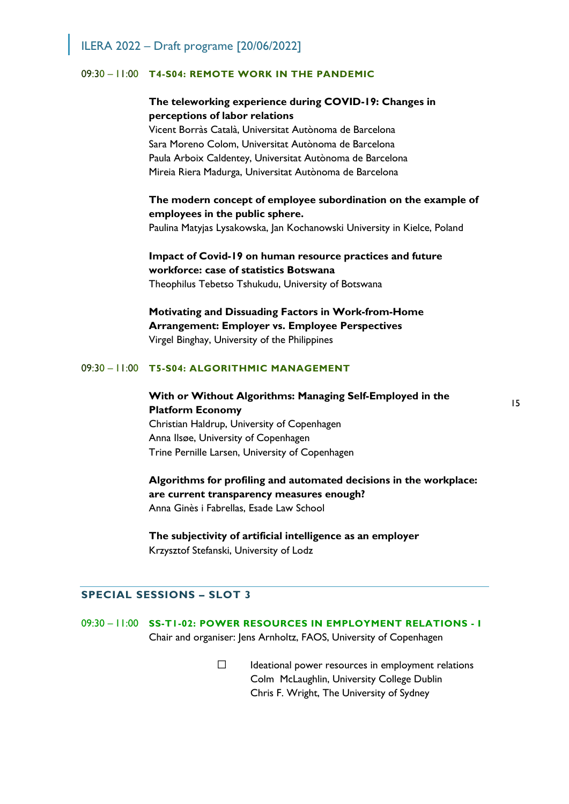#### 09:30 – 11:00 **T4-S04: REMOTE WORK IN THE PANDEMIC**

## **The teleworking experience during COVID-19: Changes in perceptions of labor relations**

Vicent Borràs Català, Universitat Autònoma de Barcelona Sara Moreno Colom, Universitat Autònoma de Barcelona Paula Arboix Caldentey, Universitat Autònoma de Barcelona Mireia Riera Madurga, Universitat Autònoma de Barcelona

## **The modern concept of employee subordination on the example of employees in the public sphere.**

Paulina Matyjas Lysakowska, Jan Kochanowski University in Kielce, Poland

## **Impact of Covid-19 on human resource practices and future workforce: case of statistics Botswana**  Theophilus Tebetso Tshukudu, University of Botswana

**Motivating and Dissuading Factors in Work-from-Home Arrangement: Employer vs. Employee Perspectives** Virgel Binghay, University of the Philippines

#### 09:30 – 11:00 **T5-S04: ALGORITHMIC MANAGEMENT**

## **With or Without Algorithms: Managing Self-Employed in the Platform Economy**

Christian Haldrup, University of Copenhagen Anna Ilsøe, University of Copenhagen Trine Pernille Larsen, University of Copenhagen

**Algorithms for profiling and automated decisions in the workplace: are current transparency measures enough?**  Anna Ginès i Fabrellas, Esade Law School

## **The subjectivity of artificial intelligence as an employer**  Krzysztof Stefanski, University of Lodz

#### **SPECIAL SESSIONS – SLOT 3**

09:30 – 11:00 **SS-T1-02: POWER RESOURCES IN EMPLOYMENT RELATIONS - I** Chair and organiser: Jens Arnholtz, FAOS, University of Copenhagen

> $\Box$  Ideational power resources in employment relations Colm McLaughlin, University College Dublin Chris F. Wright, The University of Sydney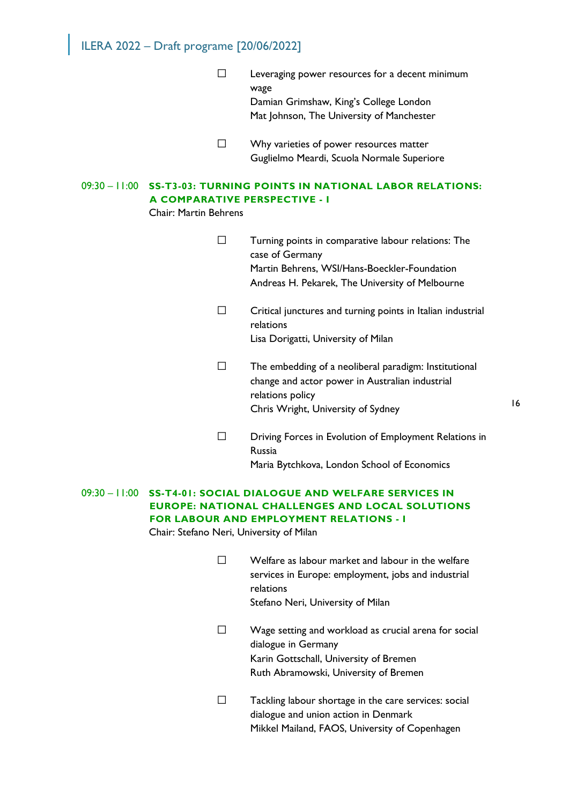- $\square$  Leveraging power resources for a decent minimum wage Damian Grimshaw, King's College London Mat Johnson, The University of Manchester
- $\square$  Why varieties of power resources matter Guglielmo Meardi, Scuola Normale Superiore

## 09:30 – 11:00 **SS-T3-03: TURNING POINTS IN NATIONAL LABOR RELATIONS: A COMPARATIVE PERSPECTIVE - I**

Chair: Martin Behrens

- $\Box$  Turning points in comparative labour relations: The case of Germany Martin Behrens, WSI/Hans-Boeckler-Foundation Andreas H. Pekarek, The University of Melbourne
- $\Box$  Critical junctures and turning points in Italian industrial relations Lisa Dorigatti, University of Milan
- $\Box$  The embedding of a neoliberal paradigm: Institutional change and actor power in Australian industrial relations policy Chris Wright, University of Sydney
- $\square$  Driving Forces in Evolution of Employment Relations in Russia Maria Bytchkova, London School of Economics

## 09:30 – 11:00 **SS-T4-01: SOCIAL DIALOGUE AND WELFARE SERVICES IN EUROPE: NATIONAL CHALLENGES AND LOCAL SOLUTIONS FOR LABOUR AND EMPLOYMENT RELATIONS - I**

Chair: Stefano Neri, University of Milan

- $\square$  Welfare as labour market and labour in the welfare services in Europe: employment, jobs and industrial relations Stefano Neri, University of Milan
- $\square$  Wage setting and workload as crucial arena for social dialogue in Germany Karin Gottschall, University of Bremen Ruth Abramowski, University of Bremen
- $\Box$  Tackling labour shortage in the care services: social dialogue and union action in Denmark Mikkel Mailand, FAOS, University of Copenhagen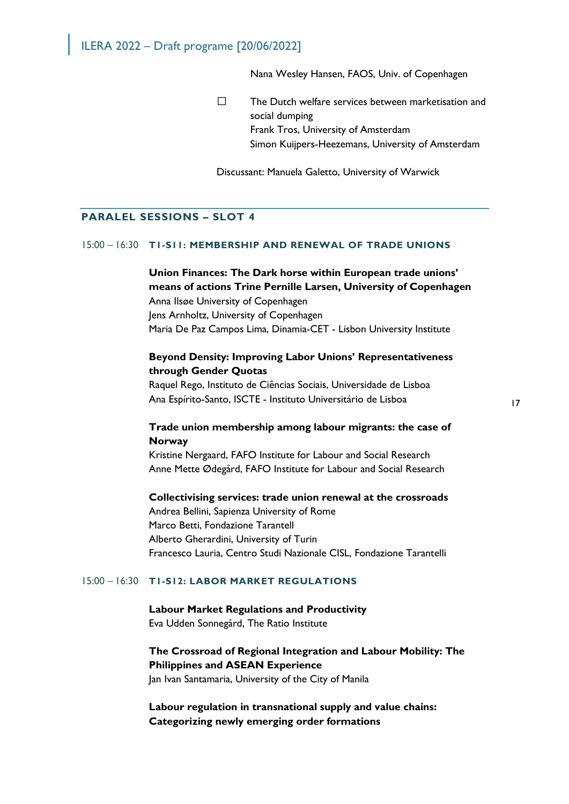Nana Wesley Hansen, FAOS, Univ. of Copenhagen

 $\square$  The Dutch welfare services between marketisation and social dumping Frank Tros, University of Amsterdam Simon Kuijpers-Heezemans, University of Amsterdam

Discussant: Manuela Galetto, University of Warwick

#### **PARALEL SESSIONS – SLOT 4**

#### 15:00 – 16:30 **T1-S11: MEMBERSHIP AND RENEWAL OF TRADE UNIONS**

**Union Finances: The Dark horse within European trade unions' means of actions Trine Pernille Larsen, University of Copenhagen** Anna Ilsøe University of Copenhagen Jens Arnholtz, University of Copenhagen Maria De Paz Campos Lima, Dinamia-CET - Lisbon University Institute

## **Beyond Density: Improving Labor Unions' Representativeness through Gender Quotas**

Raquel Rego, Instituto de Ciências Sociais, Universidade de Lisboa Ana Espírito-Santo, ISCTE - Instituto Universitário de Lisboa

## **Trade union membership among labour migrants: the case of Norway**

Kristine Nergaard, FAFO Institute for Labour and Social Research Anne Mette Ødegård, FAFO Institute for Labour and Social Research

#### **Collectivising services: trade union renewal at the crossroads**

Andrea Bellini, Sapienza University of Rome Marco Betti, Fondazione Tarantell Alberto Gherardini, University of Turin Francesco Lauria, Centro Studi Nazionale CISL, Fondazione Tarantelli

#### 15:00 – 16:30 **T1-S12: LABOR MARKET REGULATIONS**

**Labour Market Regulations and Productivity** Eva Udden Sonnegård, The Ratio Institute

## **The Crossroad of Regional Integration and Labour Mobility: The Philippines and ASEAN Experience**

Jan Ivan Santamaria, University of the City of Manila

**Labour regulation in transnational supply and value chains: Categorizing newly emerging order formations**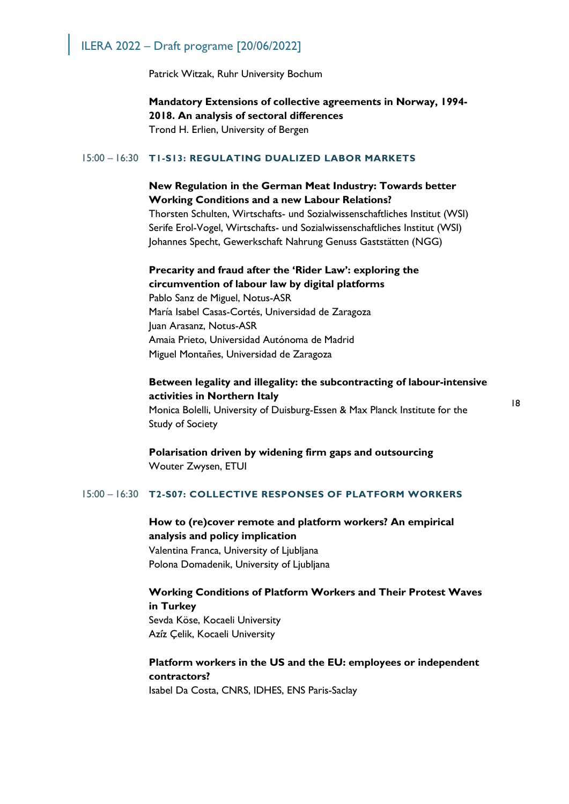Patrick Witzak, Ruhr University Bochum

**Mandatory Extensions of collective agreements in Norway, 1994- 2018. An analysis of sectoral differences** Trond H. Erlien, University of Bergen

#### 15:00 – 16:30 **T1-S13: REGULATING DUALIZED LABOR MARKETS**

## **New Regulation in the German Meat Industry: Towards better Working Conditions and a new Labour Relations?**

Thorsten Schulten, Wirtschafts- und Sozialwissenschaftliches Institut (WSI) Serife Erol-Vogel, Wirtschafts- und Sozialwissenschaftliches Institut (WSI) Johannes Specht, Gewerkschaft Nahrung Genuss Gaststätten (NGG)

## **Precarity and fraud after the 'Rider Law': exploring the circumvention of labour law by digital platforms**

Pablo Sanz de Miguel, Notus-ASR María Isabel Casas-Cortés, Universidad de Zaragoza Juan Arasanz, Notus-ASR Amaia Prieto, Universidad Autónoma de Madrid Miguel Montañes, Universidad de Zaragoza

## **Between legality and illegality: the subcontracting of labour-intensive activities in Northern Italy**

Monica Bolelli, University of Duisburg-Essen & Max Planck Institute for the Study of Society

18

## **Polarisation driven by widening firm gaps and outsourcing** Wouter Zwysen, ETUI

#### 15:00 – 16:30 **T2-S07: COLLECTIVE RESPONSES OF PLATFORM WORKERS**

## **How to (re)cover remote and platform workers? An empirical analysis and policy implication** Valentina Franca, University of Ljubljana Polona Domadenik, University of Ljubljana

**Working Conditions of Platform Workers and Their Protest Waves in Turkey** Sevda Köse, Kocaeli University Azi̇z Çelik, Kocaeli University

## **Platform workers in the US and the EU: employees or independent contractors?**

Isabel Da Costa, CNRS, IDHES, ENS Paris-Saclay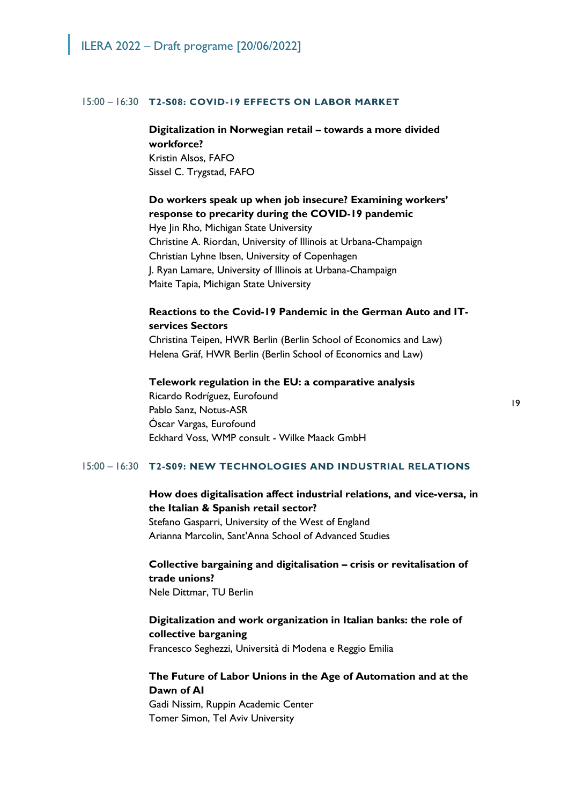#### 15:00 – 16:30 **T2-S08: COVID-19 EFFECTS ON LABOR MARKET**

## **Digitalization in Norwegian retail – towards a more divided workforce?**

Kristin Alsos, FAFO Sissel C. Trygstad, FAFO

## **Do workers speak up when job insecure? Examining workers' response to precarity during the COVID-19 pandemic**

Hye Jin Rho, Michigan State University Christine A. Riordan, University of Illinois at Urbana-Champaign Christian Lyhne Ibsen, University of Copenhagen J. Ryan Lamare, University of Illinois at Urbana-Champaign Maite Tapia, Michigan State University

## **Reactions to the Covid-19 Pandemic in the German Auto and ITservices Sectors**

Christina Teipen, HWR Berlin (Berlin School of Economics and Law) Helena Gräf, HWR Berlin (Berlin School of Economics and Law)

#### **Telework regulation in the EU: a comparative analysis**

Ricardo Rodríguez, Eurofound Pablo Sanz, Notus-ASR Óscar Vargas, Eurofound Eckhard Voss, WMP consult - Wilke Maack GmbH

#### 15:00 – 16:30 **T2-S09: NEW TECHNOLOGIES AND INDUSTRIAL RELATIONS**

## **How does digitalisation affect industrial relations, and vice-versa, in the Italian & Spanish retail sector?**

Stefano Gasparri, University of the West of England Arianna Marcolin, Sant'Anna School of Advanced Studies

## **Collective bargaining and digitalisation – crisis or revitalisation of trade unions?**

Nele Dittmar, TU Berlin

#### **Digitalization and work organization in Italian banks: the role of collective barganing**

Francesco Seghezzi, Università di Modena e Reggio Emilia

## **The Future of Labor Unions in the Age of Automation and at the Dawn of AI**

Gadi Nissim, Ruppin Academic Center Tomer Simon, Tel Aviv University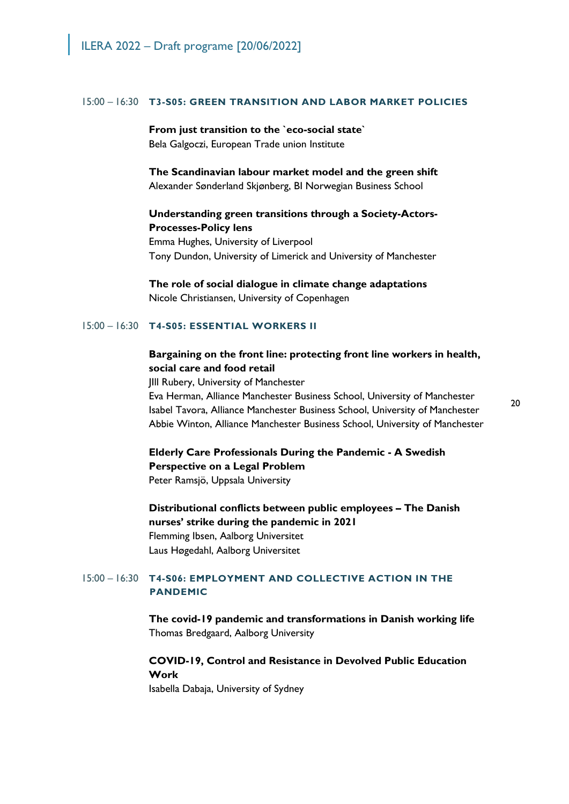#### 15:00 – 16:30 **T3-S05: GREEN TRANSITION AND LABOR MARKET POLICIES**

#### **From just transition to the `eco-social state`**

Bela Galgoczi, European Trade union Institute

**The Scandinavian labour market model and the green shift** Alexander Sønderland Skjønberg, BI Norwegian Business School

### **Understanding green transitions through a Society-Actors-Processes-Policy lens**

Emma Hughes, University of Liverpool Tony Dundon, University of Limerick and University of Manchester

**The role of social dialogue in climate change adaptations** Nicole Christiansen, University of Copenhagen

#### 15:00 – 16:30 **T4-S05: ESSENTIAL WORKERS II**

## **Bargaining on the front line: protecting front line workers in health, social care and food retail**

JIll Rubery, University of Manchester Eva Herman, Alliance Manchester Business School, University of Manchester Isabel Tavora, Alliance Manchester Business School, University of Manchester Abbie Winton, Alliance Manchester Business School, University of Manchester

**Elderly Care Professionals During the Pandemic - A Swedish Perspective on a Legal Problem** Peter Ramsjö, Uppsala University

**Distributional conflicts between public employees – The Danish nurses' strike during the pandemic in 2021** Flemming Ibsen, Aalborg Universitet Laus Høgedahl, Aalborg Universitet

### 15:00 – 16:30 **T4-S06: EMPLOYMENT AND COLLECTIVE ACTION IN THE PANDEMIC**

**The covid-19 pandemic and transformations in Danish working life** Thomas Bredgaard, Aalborg University

## **COVID-19, Control and Resistance in Devolved Public Education Work**

Isabella Dabaja, University of Sydney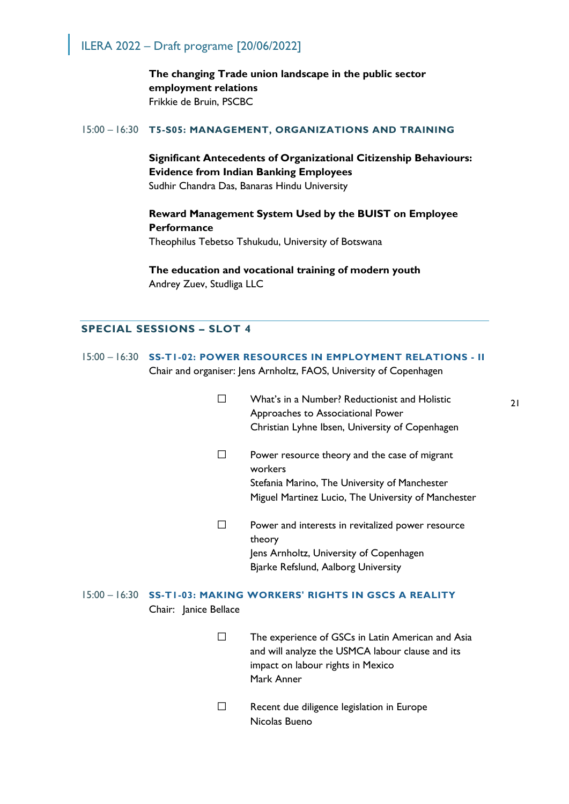**The changing Trade union landscape in the public sector employment relations** Frikkie de Bruin, PSCBC

#### 15:00 – 16:30 **T5-S05: MANAGEMENT, ORGANIZATIONS AND TRAINING**

## **Significant Antecedents of Organizational Citizenship Behaviours: Evidence from Indian Banking Employees** Sudhir Chandra Das, Banaras Hindu University

## **Reward Management System Used by the BUIST on Employee Performance**

Theophilus Tebetso Tshukudu, University of Botswana

**The education and vocational training of modern youth** Andrey Zuev, Studliga LLC

## **SPECIAL SESSIONS – SLOT 4**

- 15:00 16:30 **SS-T1-02: POWER RESOURCES IN EMPLOYMENT RELATIONS II** Chair and organiser: Jens Arnholtz, FAOS, University of Copenhagen
	- What's in a Number? Reductionist and Holistic Approaches to Associational Power Christian Lyhne Ibsen, University of Copenhagen
	- $\square$  Power resource theory and the case of migrant workers Stefania Marino, The University of Manchester Miguel Martinez Lucio, The University of Manchester
	- $\square$  Power and interests in revitalized power resource theory Jens Arnholtz, University of Copenhagen Bjarke Refslund, Aalborg University

## 15:00 – 16:30 **SS-T1-03: MAKING WORKERS' RIGHTS IN GSCS A REALITY** Chair: Janice Bellace

- $\Box$  The experience of GSCs in Latin American and Asia and will analyze the USMCA labour clause and its impact on labour rights in Mexico Mark Anner
- $\square$  Recent due diligence legislation in Europe Nicolas Bueno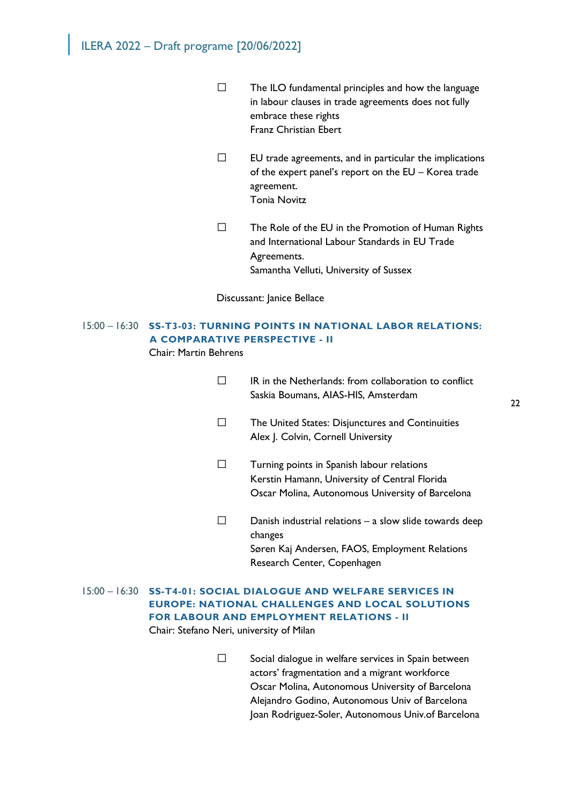- $\Box$  The ILO fundamental principles and how the language in labour clauses in trade agreements does not fully embrace these rights Franz Christian Ebert
- $\square$  EU trade agreements, and in particular the implications of the expert panel's report on the EU – Korea trade agreement. Tonia Novitz
- $\square$  The Role of the EU in the Promotion of Human Rights and International Labour Standards in EU Trade Agreements. Samantha Velluti, University of Sussex

Discussant: Janice Bellace

## 15:00 – 16:30 **SS-T3-03: TURNING POINTS IN NATIONAL LABOR RELATIONS: A COMPARATIVE PERSPECTIVE - II**

Chair: Martin Behrens

| IR in the Netherlands: from collaboration to conflict |
|-------------------------------------------------------|
| Saskia Boumans, AIAS-HIS, Amsterdam                   |

- $\square$  The United States: Disjunctures and Continuities Alex J. Colvin, Cornell University
- Turning points in Spanish labour relations Kerstin Hamann, University of Central Florida Oscar Molina, Autonomous University of Barcelona
- $\square$  Danish industrial relations a slow slide towards deep changes Søren Kaj Andersen, FAOS, Employment Relations Research Center, Copenhagen
- 15:00 16:30 **SS-T4-01: SOCIAL DIALOGUE AND WELFARE SERVICES IN EUROPE: NATIONAL CHALLENGES AND LOCAL SOLUTIONS FOR LABOUR AND EMPLOYMENT RELATIONS - II** Chair: Stefano Neri, university of Milan
	- $\square$  Social dialogue in welfare services in Spain between actors' fragmentation and a migrant workforce Oscar Molina, Autonomous University of Barcelona Alejandro Godino, Autonomous Univ of Barcelona Joan Rodriguez-Soler, Autonomous Univ.of Barcelona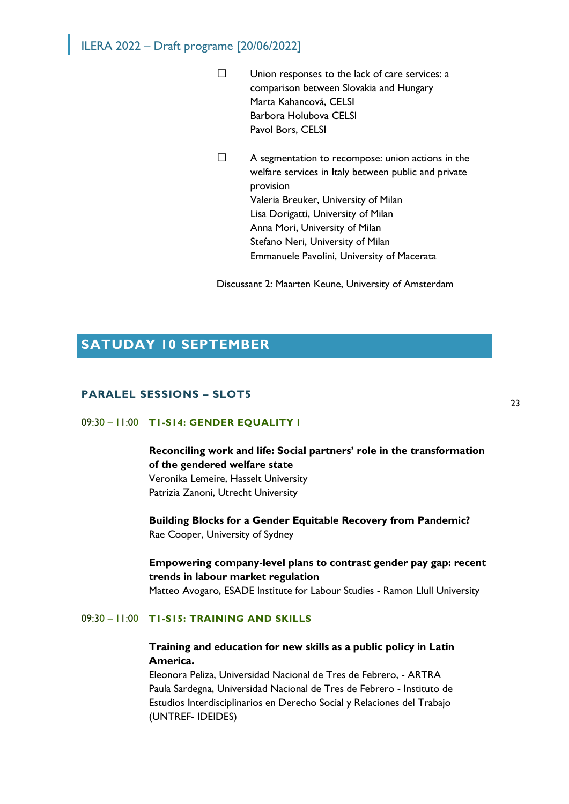- $\square$  Union responses to the lack of care services: a comparison between Slovakia and Hungary Marta Kahancová, CELSI Barbora Holubova CELSI Pavol Bors, CELSI
- $\Box$  A segmentation to recompose: union actions in the welfare services in Italy between public and private provision Valeria Breuker, University of Milan Lisa Dorigatti, University of Milan Anna Mori, University of Milan Stefano Neri, University of Milan Emmanuele Pavolini, University of Macerata

Discussant 2: Maarten Keune, University of Amsterdam

## **SATUDAY 10 SEPTEMBER**

### **PARALEL SESSIONS – SLOT5**

## 09:30 – 11:00 **T1-S14: GENDER EQUALITY I**

**Reconciling work and life: Social partners' role in the transformation of the gendered welfare state** Veronika Lemeire, Hasselt University Patrizia Zanoni, Utrecht University

**Building Blocks for a Gender Equitable Recovery from Pandemic?** Rae Cooper, University of Sydney

## **Empowering company-level plans to contrast gender pay gap: recent trends in labour market regulation**

Matteo Avogaro, ESADE Institute for Labour Studies - Ramon Llull University

#### 09:30 – 11:00 **T1-S15: TRAINING AND SKILLS**

## **Training and education for new skills as a public policy in Latin America.**

Eleonora Peliza, Universidad Nacional de Tres de Febrero, - ARTRA Paula Sardegna, Universidad Nacional de Tres de Febrero - Instituto de Estudios Interdisciplinarios en Derecho Social y Relaciones del Trabajo (UNTREF- IDEIDES)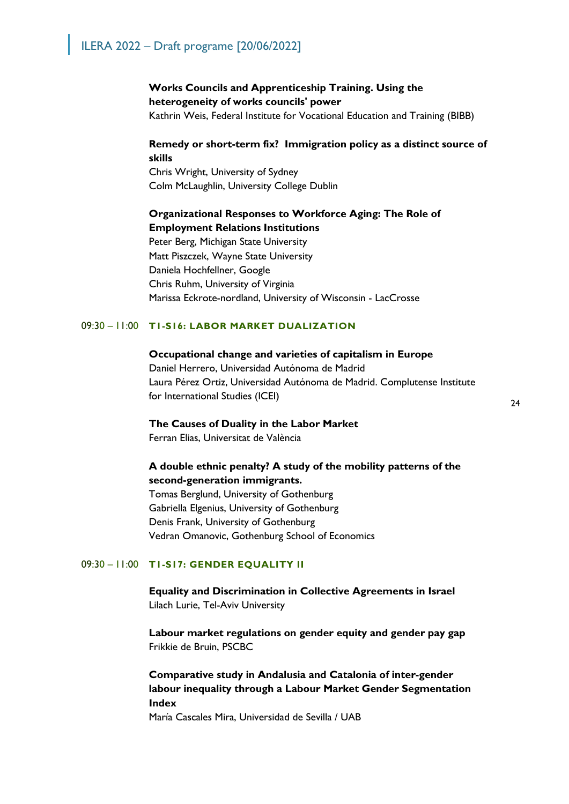### **Works Councils and Apprenticeship Training. Using the heterogeneity of works councils' power**

Kathrin Weis, Federal Institute for Vocational Education and Training (BIBB)

## **Remedy or short-term fix? Immigration policy as a distinct source of skills**

Chris Wright, University of Sydney Colm McLaughlin, University College Dublin

## **Organizational Responses to Workforce Aging: The Role of Employment Relations Institutions**

Peter Berg, Michigan State University Matt Piszczek, Wayne State University Daniela Hochfellner, Google Chris Ruhm, University of Virginia Marissa Eckrote-nordland, University of Wisconsin - LacCrosse

#### 09:30 – 11:00 **T1-S16: LABOR MARKET DUALIZATION**

#### **Occupational change and varieties of capitalism in Europe**

Daniel Herrero, Universidad Autónoma de Madrid Laura Pérez Ortiz, Universidad Autónoma de Madrid. Complutense Institute for International Studies (ICEI)

## **The Causes of Duality in the Labor Market**

Ferran Elias, Universitat de València

## **A double ethnic penalty? A study of the mobility patterns of the second-generation immigrants.**

Tomas Berglund, University of Gothenburg Gabriella Elgenius, University of Gothenburg Denis Frank, University of Gothenburg Vedran Omanovic, Gothenburg School of Economics

### 09:30 – 11:00 **T1-S17: GENDER EQUALITY II**

**Equality and Discrimination in Collective Agreements in Israel** Lilach Lurie, Tel-Aviv University

**Labour market regulations on gender equity and gender pay gap** Frikkie de Bruin, PSCBC

## **Comparative study in Andalusia and Catalonia of inter-gender labour inequality through a Labour Market Gender Segmentation Index**

María Cascales Mira, Universidad de Sevilla / UAB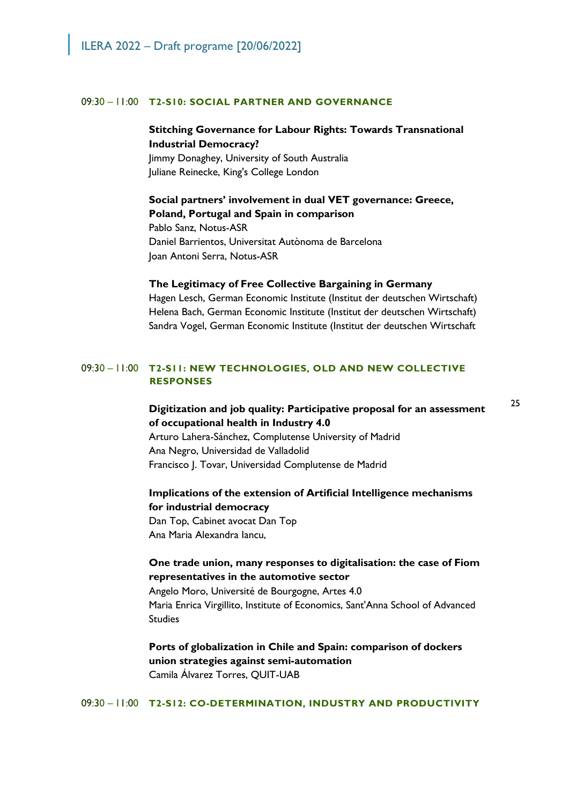#### 09:30 – 11:00 **T2-S10: SOCIAL PARTNER AND GOVERNANCE**

## **Stitching Governance for Labour Rights: Towards Transnational Industrial Democracy?**

Jimmy Donaghey, University of South Australia Juliane Reinecke, King's College London

**Social partners' involvement in dual VET governance: Greece, Poland, Portugal and Spain in comparison** Pablo Sanz, Notus-ASR Daniel Barrientos, Universitat Autònoma de Barcelona

Joan Antoni Serra, Notus-ASR

#### **The Legitimacy of Free Collective Bargaining in Germany**

Hagen Lesch, German Economic Institute (Institut der deutschen Wirtschaft) Helena Bach, German Economic Institute (Institut der deutschen Wirtschaft) Sandra Vogel, German Economic Institute (Institut der deutschen Wirtschaft

### 09:30 – 11:00 **T2-S11: NEW TECHNOLOGIES, OLD AND NEW COLLECTIVE RESPONSES**

**Digitization and job quality: Participative proposal for an assessment of occupational health in Industry 4.0** Arturo Lahera-Sánchez, Complutense University of Madrid Ana Negro, Universidad de Valladolid Francisco J. Tovar, Universidad Complutense de Madrid

## **Implications of the extension of Artificial Intelligence mechanisms for industrial democracy**

Dan Top, Cabinet avocat Dan Top Ana Maria Alexandra Iancu,

## **One trade union, many responses to digitalisation: the case of Fiom representatives in the automotive sector**

Angelo Moro, Université de Bourgogne, Artes 4.0 Maria Enrica Virgillito, Institute of Economics, Sant'Anna School of Advanced Studies

**Ports of globalization in Chile and Spain: comparison of dockers union strategies against semi-automation** Camila Álvarez Torres, QUIT-UAB

09:30 – 11:00 **T2-S12: CO-DETERMINATION, INDUSTRY AND PRODUCTIVITY**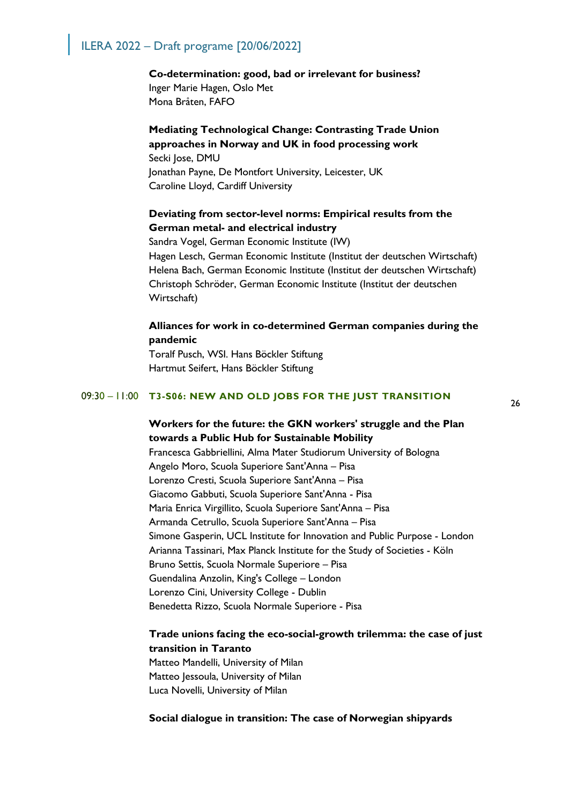#### **Co-determination: good, bad or irrelevant for business?**

Inger Marie Hagen, Oslo Met Mona Bråten, FAFO

### **Mediating Technological Change: Contrasting Trade Union approaches in Norway and UK in food processing work**

Secki Jose, DMU Jonathan Payne, De Montfort University, Leicester, UK Caroline Lloyd, Cardiff University

## **Deviating from sector-level norms: Empirical results from the German metal- and electrical industry**

Sandra Vogel, German Economic Institute (IW) Hagen Lesch, German Economic Institute (Institut der deutschen Wirtschaft) Helena Bach, German Economic Institute (Institut der deutschen Wirtschaft) Christoph Schröder, German Economic Institute (Institut der deutschen Wirtschaft)

### **Alliances for work in co-determined German companies during the pandemic**

Toralf Pusch, WSI. Hans Böckler Stiftung Hartmut Seifert, Hans Böckler Stiftung

#### 09:30 – 11:00 **T3-S06: NEW AND OLD JOBS FOR THE JUST TRANSITION**

**Workers for the future: the GKN workers' struggle and the Plan towards a Public Hub for Sustainable Mobility** Francesca Gabbriellini, Alma Mater Studiorum University of Bologna Angelo Moro, Scuola Superiore Sant'Anna – Pisa Lorenzo Cresti, Scuola Superiore Sant'Anna – Pisa Giacomo Gabbuti, Scuola Superiore Sant'Anna - Pisa Maria Enrica Virgillito, Scuola Superiore Sant'Anna – Pisa Armanda Cetrullo, Scuola Superiore Sant'Anna – Pisa Simone Gasperin, UCL Institute for Innovation and Public Purpose - London Arianna Tassinari, Max Planck Institute for the Study of Societies - Köln Bruno Settis, Scuola Normale Superiore – Pisa Guendalina Anzolin, King's College – London Lorenzo Cini, University College - Dublin Benedetta Rizzo, Scuola Normale Superiore - Pisa

## **Trade unions facing the eco-social-growth trilemma: the case of just transition in Taranto**

Matteo Mandelli, University of Milan Matteo Jessoula, University of Milan Luca Novelli, University of Milan

#### **Social dialogue in transition: The case of Norwegian shipyards**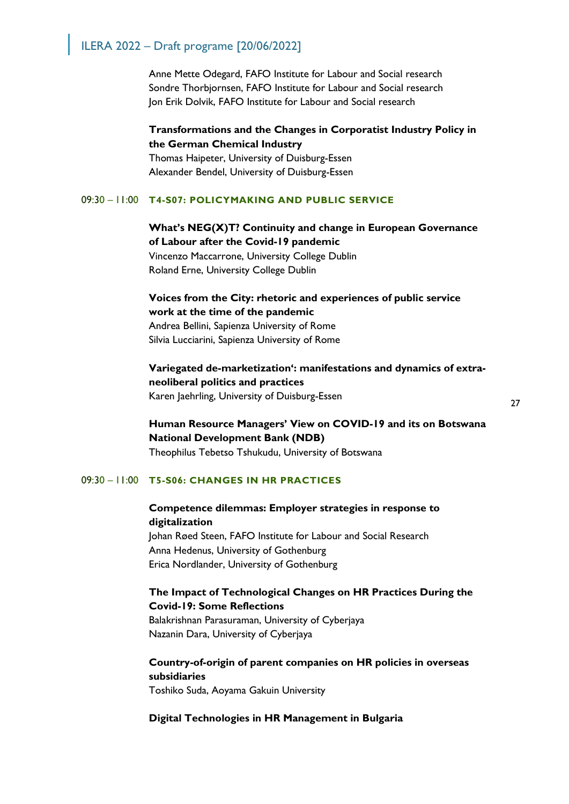Anne Mette Odegard, FAFO Institute for Labour and Social research Sondre Thorbjornsen, FAFO Institute for Labour and Social research Jon Erik Dolvik, FAFO Institute for Labour and Social research

**Transformations and the Changes in Corporatist Industry Policy in the German Chemical Industry**

Thomas Haipeter, University of Duisburg-Essen Alexander Bendel, University of Duisburg-Essen

#### 09:30 – 11:00 **T4-S07: POLICYMAKING AND PUBLIC SERVICE**

## **What's NEG(X)T? Continuity and change in European Governance of Labour after the Covid-19 pandemic**

Vincenzo Maccarrone, University College Dublin Roland Erne, University College Dublin

**Voices from the City: rhetoric and experiences of public service work at the time of the pandemic** Andrea Bellini, Sapienza University of Rome Silvia Lucciarini, Sapienza University of Rome

**Variegated de-marketization': manifestations and dynamics of extraneoliberal politics and practices** Karen Jaehrling, University of Duisburg-Essen

**Human Resource Managers' View on COVID-19 and its on Botswana National Development Bank (NDB)** Theophilus Tebetso Tshukudu, University of Botswana

#### 09:30 – 11:00 **T5-S06: CHANGES IN HR PRACTICES**

## **Competence dilemmas: Employer strategies in response to digitalization**

Johan Røed Steen, FAFO Institute for Labour and Social Research Anna Hedenus, University of Gothenburg Erica Nordlander, University of Gothenburg

## **The Impact of Technological Changes on HR Practices During the Covid-19: Some Reflections**

Balakrishnan Parasuraman, University of Cyberjaya Nazanin Dara, University of Cyberjaya

## **Country-of-origin of parent companies on HR policies in overseas subsidiaries**

Toshiko Suda, Aoyama Gakuin University

#### **Digital Technologies in HR Management in Bulgaria**

27